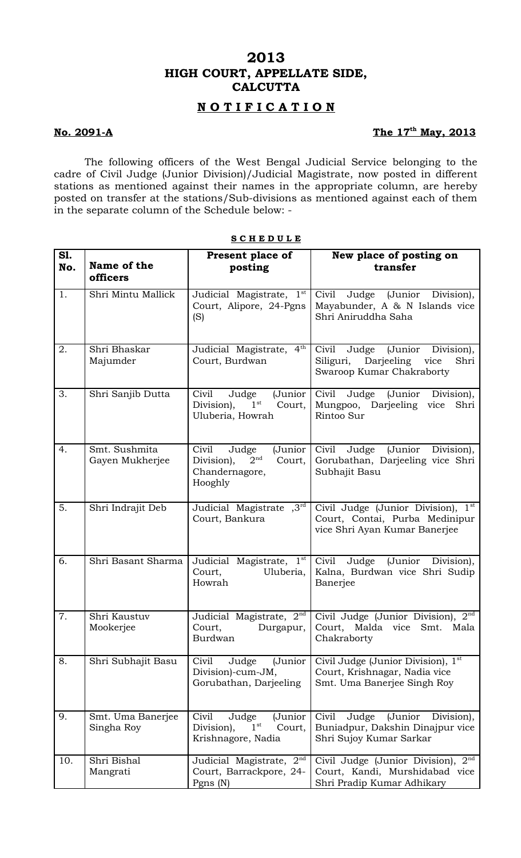# **2013 HIGH COURT, APPELLATE SIDE, CALCUTTA**

### **N O T I F I C A T I O N**

### **No. 2091-A**

## The 17<sup>th</sup> May, 2013

The following officers of the West Bengal Judicial Service belonging to the cadre of Civil Judge (Junior Division)/Judicial Magistrate, now posted in different stations as mentioned against their names in the appropriate column, are hereby posted on transfer at the stations/Sub-divisions as mentioned against each of them in the separate column of the Schedule below: -

| S1.<br>No. | Name of the<br>officers          | Present place of<br>posting                                                                       | New place of posting on<br>transfer                                                                               |
|------------|----------------------------------|---------------------------------------------------------------------------------------------------|-------------------------------------------------------------------------------------------------------------------|
| 1.         | Shri Mintu Mallick               | Judicial Magistrate, 1 <sup>st</sup><br>Court, Alipore, 24-Pgns<br>(S)                            | Judge (Junior Division),<br>Civil<br>Mayabunder, A & N Islands vice<br>Shri Aniruddha Saha                        |
| 2.         | Shri Bhaskar<br>Majumder         | Judicial Magistrate, 4th<br>Court, Burdwan                                                        | Civil<br>Judge<br>(Junior<br>Division),<br>Siliguri, Darjeeling vice<br>Shri<br>Swaroop Kumar Chakraborty         |
| 3.         | Shri Sanjib Dutta                | Civil<br>(Junior<br>Judge<br>$1^{\rm st}$<br>Division),<br>Court,<br>Uluberia, Howrah             | Civil<br>Judge<br>(Junior Division),<br>Mungpoo, Darjeeling vice<br>Shri<br>Rintoo Sur                            |
| 4.         | Smt. Sushmita<br>Gayen Mukherjee | Civil<br>Judge<br>(Junior<br>2 <sup>nd</sup><br>Division),<br>Court,<br>Chandernagore,<br>Hooghly | Civil<br>(Junior<br>Judge<br>Division),<br>Gorubathan, Darjeeling vice Shri<br>Subhajit Basu                      |
| 5.         | Shri Indrajit Deb                | Judicial Magistrate ,3rd<br>Court, Bankura                                                        | Civil Judge (Junior Division), 1 <sup>st</sup><br>Court, Contai, Purba Medinipur<br>vice Shri Ayan Kumar Banerjee |
| 6.         | Shri Basant Sharma               | Judicial Magistrate, 1st<br>Court,<br>Uluberia,<br>Howrah                                         | Civil<br>Judge (Junior Division),<br>Kalna, Burdwan vice Shri Sudip<br>Banerjee                                   |
| 7.         | Shri Kaustuv<br>Mookerjee        | Judicial Magistrate, 2 <sup>nd</sup><br>Court,<br>Durgapur,<br>Burdwan                            | Civil Judge (Junior Division), 2nd<br>Court, Malda vice<br>Smt.<br>Mala<br>Chakraborty                            |
| 8.         | Shri Subhajit Basu               | Civil<br>Judge<br>(Junior<br>Division)-cum-JM,<br>Gorubathan, Darjeeling                          | Civil Judge (Junior Division), 1st<br>Court, Krishnagar, Nadia vice<br>Smt. Uma Banerjee Singh Roy                |
| 9.         | Smt. Uma Banerjee<br>Singha Roy  | Civil<br>Judge<br>(Junior<br>1 <sup>st</sup><br>Division),<br>Court,<br>Krishnagore, Nadia        | Civil<br>Judge<br>(Junior<br>Division),<br>Buniadpur, Dakshin Dinajpur vice<br>Shri Sujoy Kumar Sarkar            |
| 10.        | Shri Bishal<br>Mangrati          | Judicial Magistrate, 2 <sup>nd</sup><br>Court, Barrackpore, 24-<br>Pgns $(N)$                     | 2 <sup>nd</sup><br>Civil Judge (Junior Division),<br>Court, Kandi, Murshidabad vice<br>Shri Pradip Kumar Adhikary |

#### **S C H E D U L E**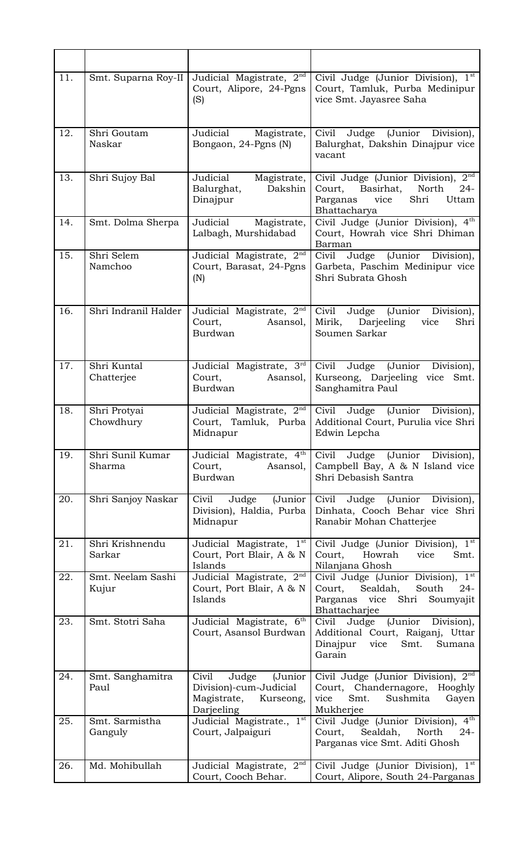| 11. | Smt. Suparna Roy-II        | Judicial Magistrate, 2 <sup>nd</sup><br>Court, Alipore, 24-Pgns<br>(S)                        | Civil Judge (Junior Division), 1st<br>Court, Tamluk, Purba Medinipur<br>vice Smt. Jayasree Saha                                                     |
|-----|----------------------------|-----------------------------------------------------------------------------------------------|-----------------------------------------------------------------------------------------------------------------------------------------------------|
| 12. | Shri Goutam<br>Naskar      | Judicial<br>Magistrate,<br>Bongaon, 24-Pgns (N)                                               | Civil<br>(Junior<br>Judge<br>Division),<br>Balurghat, Dakshin Dinajpur vice<br>vacant                                                               |
| 13. | Shri Sujoy Bal             | Judicial<br>Magistrate,<br>Dakshin<br>Balurghat,<br>Dinajpur                                  | 2 <sup>nd</sup><br>Civil Judge (Junior Division),<br>Court,<br>Basirhat,<br>North<br>$24-$<br>Shri<br>Parganas<br>vice<br>Uttam<br>Bhattacharya     |
| 14. | Smt. Dolma Sherpa          | Judicial<br>Magistrate,<br>Lalbagh, Murshidabad                                               | Civil Judge (Junior Division), 4th<br>Court, Howrah vice Shri Dhiman<br>Barman                                                                      |
| 15. | Shri Selem<br>Namchoo      | Judicial Magistrate, 2 <sup>nd</sup><br>Court, Barasat, 24-Pgns<br>(N)                        | Civil<br>Judge<br>(Junior Division),<br>Garbeta, Paschim Medinipur vice<br>Shri Subrata Ghosh                                                       |
| 16. | Shri Indranil Halder       | Judicial Magistrate, $2nd$<br>Court,<br>Asansol,<br>Burdwan                                   | Civil<br>Judge (Junior Division),<br>Mirik, Darjeeling<br>vice<br>Shri<br>Soumen Sarkar                                                             |
| 17. | Shri Kuntal<br>Chatterjee  | Judicial Magistrate, 3rd<br>Court,<br>Asansol,<br>Burdwan                                     | Civil<br>(Junior<br>Division),<br>Judge<br>Kurseong, Darjeeling vice Smt.<br>Sanghamitra Paul                                                       |
| 18. | Shri Protyai<br>Chowdhury  | Judicial Magistrate, 2 <sup>nd</sup><br>Court, Tamluk, Purba<br>Midnapur                      | Civil<br>Judge (Junior<br>Division),<br>Additional Court, Purulia vice Shri<br>Edwin Lepcha                                                         |
| 19. | Shri Sunil Kumar<br>Sharma | Judicial Magistrate, 4th<br>Court,<br>Asansol,<br>Burdwan                                     | (Junior<br>Civil<br>Judge<br>Division),<br>Campbell Bay, A & N Island vice<br>Shri Debasish Santra                                                  |
| 20. | Shri Sanjoy Naskar         | Judge<br>(Junior<br>Civil<br>Division), Haldia, Purba<br>Midnapur                             | Civil<br>Judge<br>(Junior Division),<br>Dinhata, Cooch Behar vice Shri<br>Ranabir Mohan Chatterjee                                                  |
| 21. | Shri Krishnendu<br>Sarkar  | Judicial Magistrate, 1st<br>Court, Port Blair, A & N<br>Islands                               | 1 <sup>st</sup><br>Civil Judge (Junior Division),<br>Howrah<br>Court,<br>vice<br>Smt.<br>Nilanjana Ghosh                                            |
| 22. | Smt. Neelam Sashi<br>Kujur | Judicial Magistrate, 2 <sup>nd</sup><br>Court, Port Blair, A & N<br>Islands                   | 1 <sup>st</sup><br>Civil Judge (Junior Division),<br>South<br>Court,<br>Sealdah,<br>$24-$<br>Shri<br>Parganas<br>vice<br>Soumyajit<br>Bhattacharjee |
| 23. | Smt. Stotri Saha           | Judicial Magistrate, 6th<br>Court, Asansol Burdwan                                            | Judge (Junior<br>Division),<br>Civil<br>Additional Court, Raiganj, Uttar<br>Smt.<br>Dinajpur<br>vice<br>Sumana<br>Garain                            |
| 24. | Smt. Sanghamitra<br>Paul   | (Junior<br>Civil<br>Judge<br>Division)-cum-Judicial<br>Magistrate,<br>Kurseong,<br>Darjeeling | Civil Judge (Junior Division), 2 <sup>nd</sup><br>Chandernagore, Hooghly<br>Court,<br>Smt.<br>Sushmita<br>vice<br>Gayen<br>Mukherjee                |
| 25. | Smt. Sarmistha<br>Ganguly  | Judicial Magistrate., 1st<br>Court, Jalpaiguri                                                | Civil Judge (Junior Division),<br>$4^{\text{th}}$<br>North<br>Court,<br>Sealdah,<br>$24-$<br>Parganas vice Smt. Aditi Ghosh                         |
| 26. | Md. Mohibullah             | Judicial Magistrate, $2nd$<br>Court, Cooch Behar.                                             | Civil Judge (Junior Division), 1st<br>Court, Alipore, South 24-Parganas                                                                             |